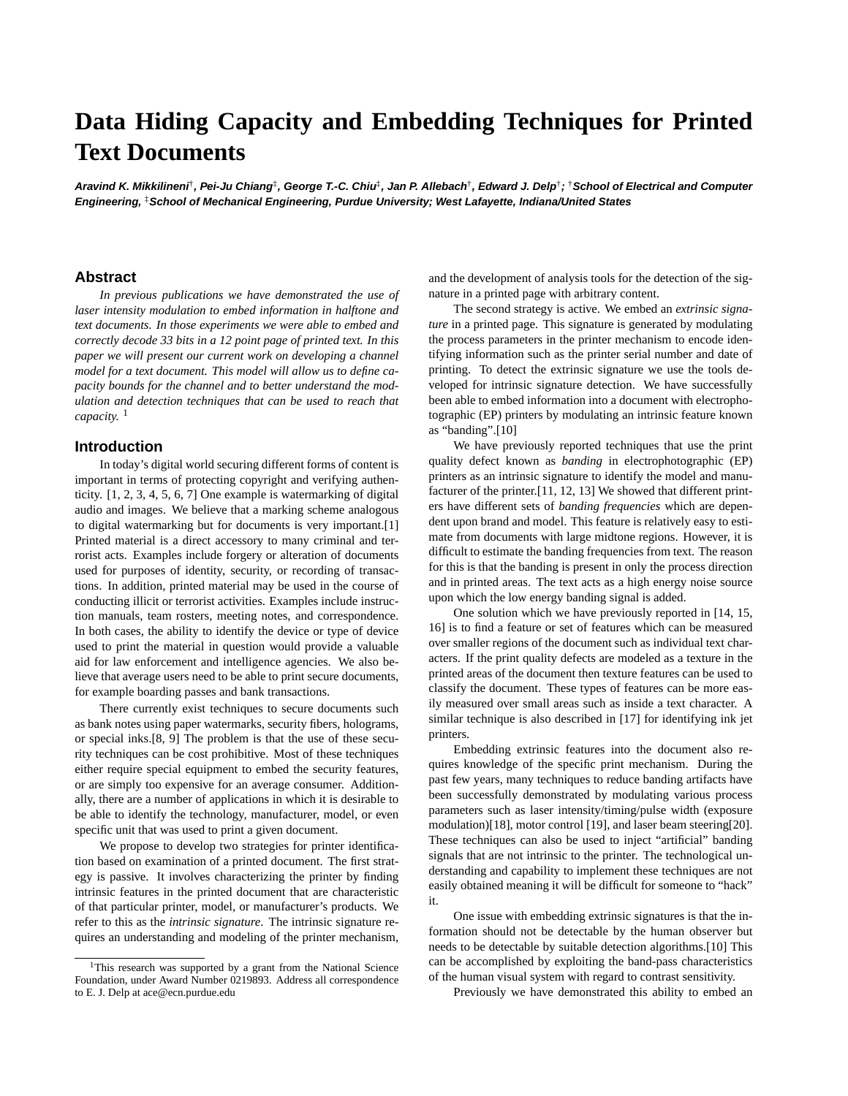# **Data Hiding Capacity and Embedding Techniques for Printed Text Documents**

**Aravind K. Mikkilineni**† **, Pei-Ju Chiang**‡ **, George T.-C. Chiu**‡ **, Jan P. Allebach**† **, Edward J. Delp**† **;** †**School of Electrical and Computer Engineering,** ‡**School of Mechanical Engineering, Purdue University; West Lafayette, Indiana/United States**

#### **Abstract**

*In previous publications we have demonstrated the use of laser intensity modulation to embed information in halftone and text documents. In those experiments we were able to embed and correctly decode 33 bits in a 12 point page of printed text. In this paper we will present our current work on developing a channel model for a text document. This model will allow us to define capacity bounds for the channel and to better understand the modulation and detection techniques that can be used to reach that capacity.*<sup>1</sup>

## **Introduction**

In today's digital world securing different forms of content is important in terms of protecting copyright and verifying authenticity. [1, 2, 3, 4, 5, 6, 7] One example is watermarking of digital audio and images. We believe that a marking scheme analogous to digital watermarking but for documents is very important.[1] Printed material is a direct accessory to many criminal and terrorist acts. Examples include forgery or alteration of documents used for purposes of identity, security, or recording of transactions. In addition, printed material may be used in the course of conducting illicit or terrorist activities. Examples include instruction manuals, team rosters, meeting notes, and correspondence. In both cases, the ability to identify the device or type of device used to print the material in question would provide a valuable aid for law enforcement and intelligence agencies. We also believe that average users need to be able to print secure documents, for example boarding passes and bank transactions.

There currently exist techniques to secure documents such as bank notes using paper watermarks, security fibers, holograms, or special inks.[8, 9] The problem is that the use of these security techniques can be cost prohibitive. Most of these techniques either require special equipment to embed the security features, or are simply too expensive for an average consumer. Additionally, there are a number of applications in which it is desirable to be able to identify the technology, manufacturer, model, or even specific unit that was used to print a given document.

We propose to develop two strategies for printer identification based on examination of a printed document. The first strategy is passive. It involves characterizing the printer by finding intrinsic features in the printed document that are characteristic of that particular printer, model, or manufacturer's products. We refer to this as the *intrinsic signature*. The intrinsic signature requires an understanding and modeling of the printer mechanism, and the development of analysis tools for the detection of the signature in a printed page with arbitrary content.

The second strategy is active. We embed an *extrinsic signature* in a printed page. This signature is generated by modulating the process parameters in the printer mechanism to encode identifying information such as the printer serial number and date of printing. To detect the extrinsic signature we use the tools developed for intrinsic signature detection. We have successfully been able to embed information into a document with electrophotographic (EP) printers by modulating an intrinsic feature known as "banding".[10]

We have previously reported techniques that use the print quality defect known as *banding* in electrophotographic (EP) printers as an intrinsic signature to identify the model and manufacturer of the printer.[11, 12, 13] We showed that different printers have different sets of *banding frequencies* which are dependent upon brand and model. This feature is relatively easy to estimate from documents with large midtone regions. However, it is difficult to estimate the banding frequencies from text. The reason for this is that the banding is present in only the process direction and in printed areas. The text acts as a high energy noise source upon which the low energy banding signal is added.

One solution which we have previously reported in [14, 15, 16] is to find a feature or set of features which can be measured over smaller regions of the document such as individual text characters. If the print quality defects are modeled as a texture in the printed areas of the document then texture features can be used to classify the document. These types of features can be more easily measured over small areas such as inside a text character. A similar technique is also described in [17] for identifying ink jet printers.

Embedding extrinsic features into the document also requires knowledge of the specific print mechanism. During the past few years, many techniques to reduce banding artifacts have been successfully demonstrated by modulating various process parameters such as laser intensity/timing/pulse width (exposure modulation)[18], motor control [19], and laser beam steering[20]. These techniques can also be used to inject "artificial" banding signals that are not intrinsic to the printer. The technological understanding and capability to implement these techniques are not easily obtained meaning it will be difficult for someone to "hack" it.

One issue with embedding extrinsic signatures is that the information should not be detectable by the human observer but needs to be detectable by suitable detection algorithms.[10] This can be accomplished by exploiting the band-pass characteristics of the human visual system with regard to contrast sensitivity.

Previously we have demonstrated this ability to embed an

<sup>&</sup>lt;sup>1</sup>This research was supported by a grant from the National Science Foundation, under Award Number 0219893. Address all correspondence to E. J. Delp at ace@ecn.purdue.edu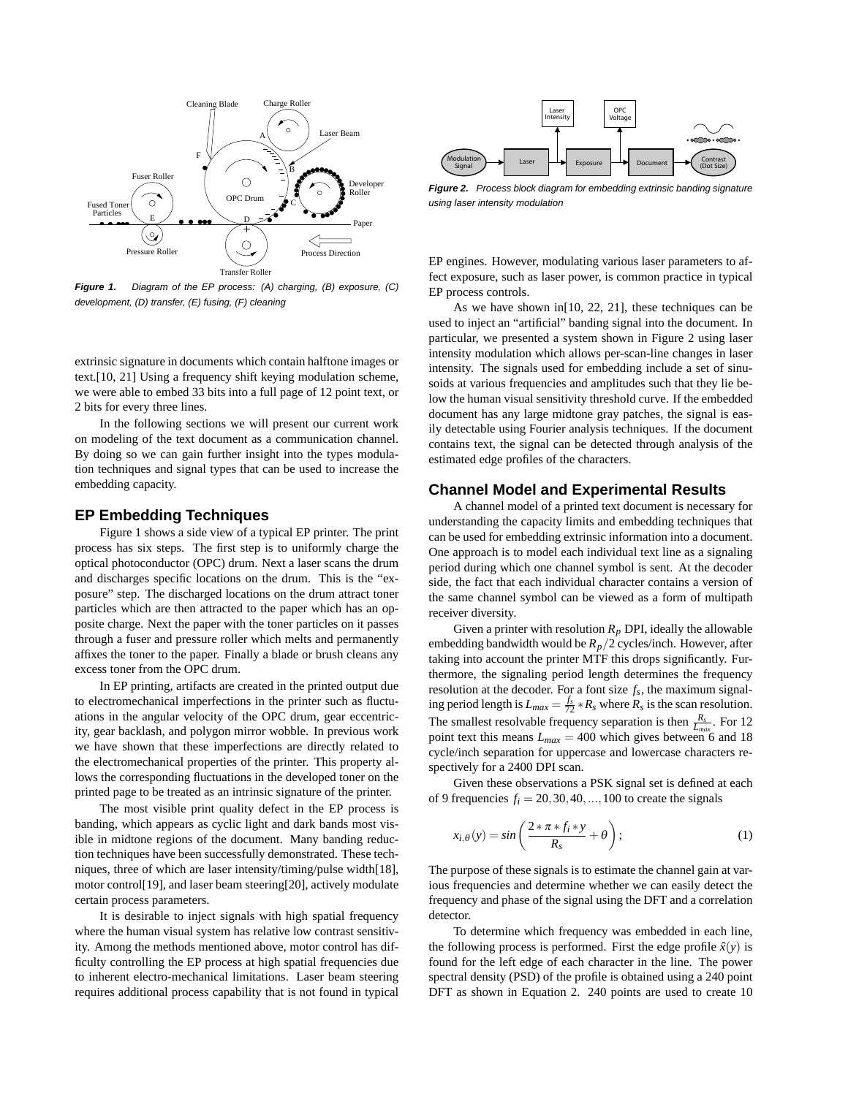

Figure 1. Diagram of the EP process: (A) charging, (B) exposure, (C) development, (D) transfer, (E) fusing, (F) cleaning

extrinsic signature in documents which contain halftone images or text.[10, 21] Using a frequency shift keying modulation scheme, we were able to embed 33 bits into a full page of 12 point text, or 2 bits for every three lines.

In the following sections we will present our current work on modeling of the text document as a communication channel. By doing so we can gain further insight into the types modulation techniques and signal types that can be used to increase the embedding capacity.

#### **EP Embedding Techniques**

Figure 1 shows a side view of a typical EP printer. The print process has six steps. The first step is to uniformly charge the optical photoconductor (OPC) drum. Next a laser scans the drum and discharges specific locations on the drum. This is the "exposure" step. The discharged locations on the drum attract toner particles which are then attracted to the paper which has an opposite charge. Next the paper with the toner particles on it passes through a fuser and pressure roller which melts and permanently affixes the toner to the paper. Finally a blade or brush cleans any excess toner from the OPC drum.

In EP printing, artifacts are created in the printed output due to electromechanical imperfections in the printer such as fluctuations in the angular velocity of the OPC drum, gear eccentricity, gear backlash, and polygon mirror wobble. In previous work we have shown that these imperfections are directly related to the electromechanical properties of the printer. This property allows the corresponding fluctuations in the developed toner on the printed page to be treated as an intrinsic signature of the printer.

The most visible print quality defect in the EP process is banding, which appears as cyclic light and dark bands most visible in midtone regions of the document. Many banding reduction techniques have been successfully demonstrated. These techniques, three of which are laser intensity/timing/pulse width[18], motor control[19], and laser beam steering[20], actively modulate certain process parameters.

It is desirable to inject signals with high spatial frequency where the human visual system has relative low contrast sensitivity. Among the methods mentioned above, motor control has difficulty controlling the EP process at high spatial frequencies due to inherent electro-mechanical limitations. Laser beam steering requires additional process capability that is not found in typical



**Figure 2.** Process block diagram for embedding extrinsic banding signature using laser intensity modulation

EP engines. However, modulating various laser parameters to affect exposure, such as laser power, is common practice in typical EP process controls.

As we have shown in[10, 22, 21], these techniques can be used to inject an "artificial" banding signal into the document. In particular, we presented a system shown in Figure 2 using laser intensity modulation which allows per-scan-line changes in laser intensity. The signals used for embedding include a set of sinusoids at various frequencies and amplitudes such that they lie below the human visual sensitivity threshold curve. If the embedded document has any large midtone gray patches, the signal is easily detectable using Fourier analysis techniques. If the document contains text, the signal can be detected through analysis of the estimated edge profiles of the characters.

## **Channel Model and Experimental Results**

A channel model of a printed text document is necessary for understanding the capacity limits and embedding techniques that can be used for embedding extrinsic information into a document. One approach is to model each individual text line as a signaling period during which one channel symbol is sent. At the decoder side, the fact that each individual character contains a version of the same channel symbol can be viewed as a form of multipath receiver diversity.

Given a printer with resolution  $R_p$  DPI, ideally the allowable embedding bandwidth would be *Rp*/2 cycles/inch. However, after taking into account the printer MTF this drops significantly. Furthermore, the signaling period length determines the frequency resolution at the decoder. For a font size  $f_s$ , the maximum signaling period length is  $L_{max} = \frac{f_s}{72} * R_s$  where  $R_s$  is the scan resolution. The smallest resolvable frequency separation is then  $\frac{R_s}{L_{max}}$ . For 12 point text this means  $L_{max} = 400$  which gives between 6 and 18 cycle/inch separation for uppercase and lowercase characters respectively for a 2400 DPI scan.

Given these observations a PSK signal set is defined at each of 9 frequencies  $f_i = 20, 30, 40, \ldots, 100$  to create the signals

$$
x_{i,\theta}(y) = \sin\left(\frac{2*\pi*f_i*y}{R_s} + \theta\right);
$$
 (1)

The purpose of these signals is to estimate the channel gain at various frequencies and determine whether we can easily detect the frequency and phase of the signal using the DFT and a correlation detector.

To determine which frequency was embedded in each line, the following process is performed. First the edge profile  $\hat{x}(y)$  is found for the left edge of each character in the line. The power spectral density (PSD) of the profile is obtained using a 240 point DFT as shown in Equation 2. 240 points are used to create 10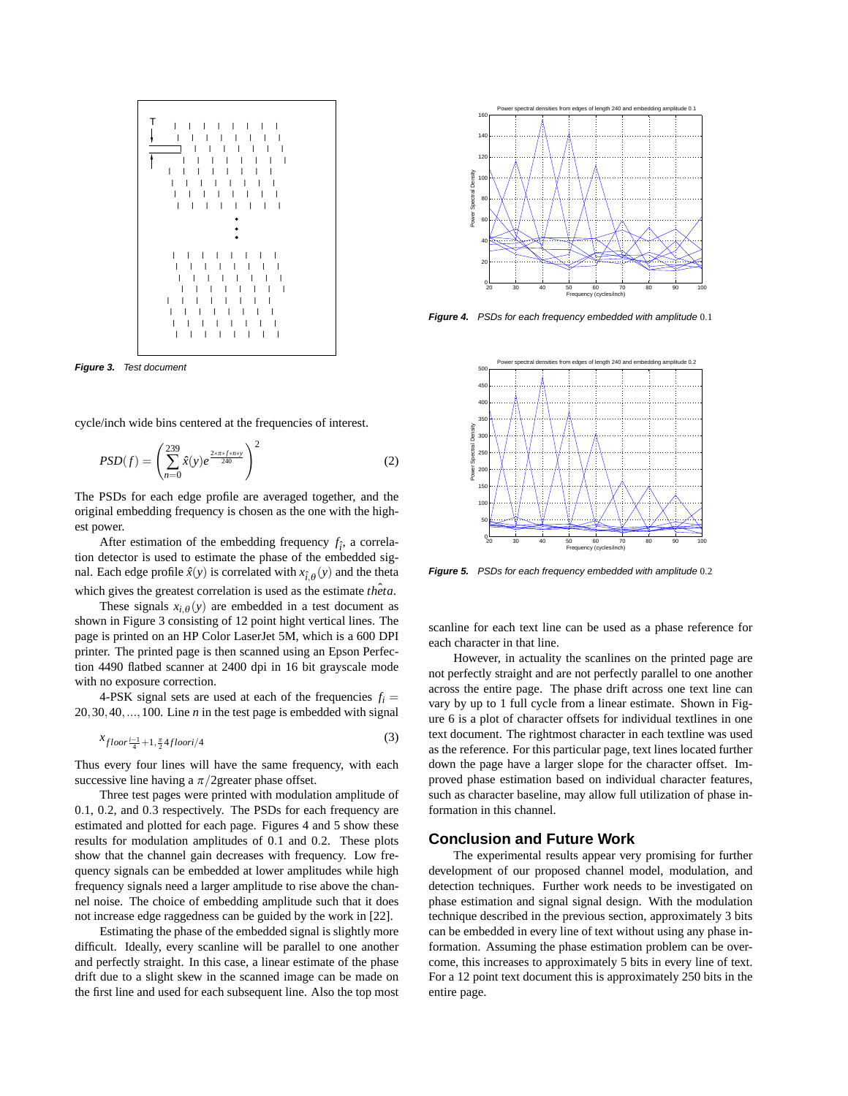

**Figure 3.** Test document

cycle/inch wide bins centered at the frequencies of interest.

$$
PSD(f) = \left(\sum_{n=0}^{239} \hat{x}(y)e^{\frac{2\pi\pi s f s n s y}{240}}\right)^2
$$
 (2)

The PSDs for each edge profile are averaged together, and the original embedding frequency is chosen as the one with the highest power.

After estimation of the embedding frequency  $f_i$ , a correlation detector is used to estimate the phase of the embedded signal. Each edge profile  $\hat{x}(y)$  is correlated with  $x_{\hat{i},\theta}(y)$  and the theta which gives the greatest correlation is used as the estimate *theta*.

These signals  $x_i \theta(y)$  are embedded in a test document as shown in Figure 3 consisting of 12 point hight vertical lines. The page is printed on an HP Color LaserJet 5M, which is a 600 DPI printer. The printed page is then scanned using an Epson Perfection 4490 flatbed scanner at 2400 dpi in 16 bit grayscale mode with no exposure correction.

4-PSK signal sets are used at each of the frequencies  $f_i =$  $20,30,40,...,100$ . Line *n* in the test page is embedded with signal

$$
x_{floor\frac{i-1}{4}+1,\frac{\pi}{2}4floor/4} \tag{3}
$$

Thus every four lines will have the same frequency, with each successive line having a  $\pi/2$ greater phase offset.

Three test pages were printed with modulation amplitude of 0.1, 0.2, and 0.3 respectively. The PSDs for each frequency are estimated and plotted for each page. Figures 4 and 5 show these results for modulation amplitudes of 0.1 and 0.2. These plots show that the channel gain decreases with frequency. Low frequency signals can be embedded at lower amplitudes while high frequency signals need a larger amplitude to rise above the channel noise. The choice of embedding amplitude such that it does not increase edge raggedness can be guided by the work in [22].

Estimating the phase of the embedded signal is slightly more difficult. Ideally, every scanline will be parallel to one another and perfectly straight. In this case, a linear estimate of the phase drift due to a slight skew in the scanned image can be made on the first line and used for each subsequent line. Also the top most



**Figure 4.** PSDs for each frequency embedded with amplitude 0.1



**Figure 5.** PSDs for each frequency embedded with amplitude 0.2

scanline for each text line can be used as a phase reference for each character in that line.

However, in actuality the scanlines on the printed page are not perfectly straight and are not perfectly parallel to one another across the entire page. The phase drift across one text line can vary by up to 1 full cycle from a linear estimate. Shown in Figure 6 is a plot of character offsets for individual textlines in one text document. The rightmost character in each textline was used as the reference. For this particular page, text lines located further down the page have a larger slope for the character offset. Improved phase estimation based on individual character features, such as character baseline, may allow full utilization of phase information in this channel.

### **Conclusion and Future Work**

The experimental results appear very promising for further development of our proposed channel model, modulation, and detection techniques. Further work needs to be investigated on phase estimation and signal signal design. With the modulation technique described in the previous section, approximately 3 bits can be embedded in every line of text without using any phase information. Assuming the phase estimation problem can be overcome, this increases to approximately 5 bits in every line of text. For a 12 point text document this is approximately 250 bits in the entire page.